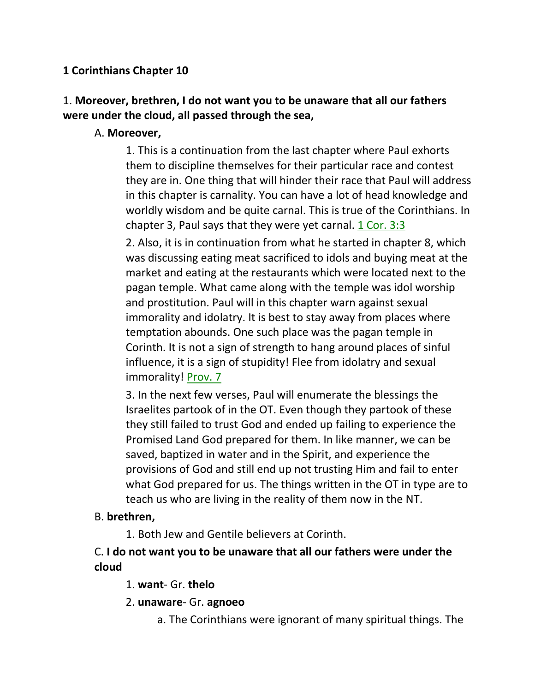## **1 Corinthians Chapter 10**

# 1. **Moreover, brethren, I do not want you to be unaware that all our fathers were under the cloud, all passed through the sea,**

## A. **Moreover,**

1. This is a continuation from the last chapter where Paul exhorts them to discipline themselves for their particular race and contest they are in. One thing that will hinder their race that Paul will address in this chapter is carnality. You can have a lot of head knowledge and worldly wisdom and be quite carnal. This is true of the Corinthians. In chapter 3, Paul says that they were yet carnal.  $1$  Cor. 3:3

2. Also, it is in continuation from what he started in chapter 8, which was discussing eating meat sacrificed to idols and buying meat at the market and eating at the restaurants which were located next to the pagan temple. What came along with the temple was idol worship and prostitution. Paul will in this chapter warn against sexual immorality and idolatry. It is best to stay away from places where temptation abounds. One such place was the pagan temple in Corinth. It is not a sign of strength to hang around places of sinful influence, it is a sign of stupidity! Flee from idolatry and sexual immorality! Prov. 7

3. In the next few verses, Paul will enumerate the blessings the Israelites partook of in the OT. Even though they partook of these they still failed to trust God and ended up failing to experience the Promised Land God prepared for them. In like manner, we can be saved, baptized in water and in the Spirit, and experience the provisions of God and still end up not trusting Him and fail to enter what God prepared for us. The things written in the OT in type are to teach us who are living in the reality of them now in the NT.

## B. **brethren,**

1. Both Jew and Gentile believers at Corinth.

## C. **I do not want you to be unaware that all our fathers were under the cloud**

1. **want**- Gr. **thelo**

2. **unaware**- Gr. **agnoeo**

a. The Corinthians were ignorant of many spiritual things. The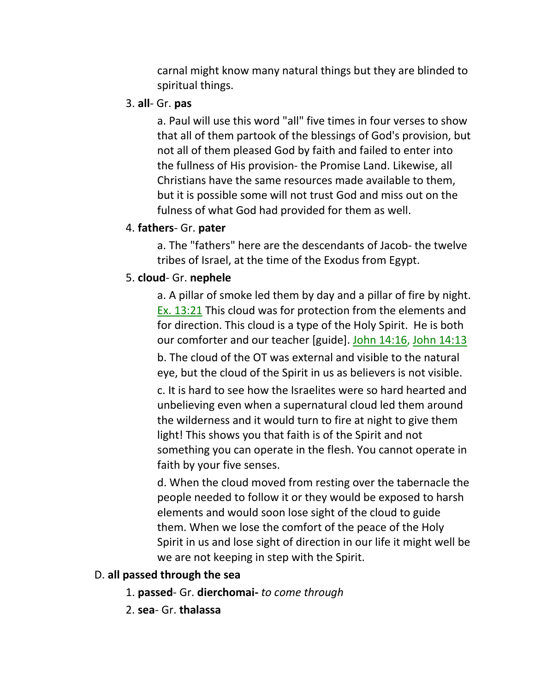carnal might know many natural things but they are blinded to spiritual things.

#### 3. **all**- Gr. **pas**

a. Paul will use this word "all" five times in four verses to show that all of them partook of the blessings of God's provision, but not all of them pleased God by faith and failed to enter into the fullness of His provision- the Promise Land. Likewise, all Christians have the same resources made available to them, but it is possible some will not trust God and miss out on the fulness of what God had provided for them as well.

#### 4. **fathers**- Gr. **pater**

a. The "fathers" here are the descendants of Jacob- the twelve tribes of Israel, at the time of the Exodus from Egypt.

## 5. **cloud**- Gr. **nephele**

a. A pillar of smoke led them by day and a pillar of fire by night. Ex. 13:21 This cloud was for protection from the elements and for direction. This cloud is a type of the Holy Spirit. He is both our comforter and our teacher [guide]. John 14:16, John 14:13

b. The cloud of the OT was external and visible to the natural eye, but the cloud of the Spirit in us as believers is not visible.

c. It is hard to see how the Israelites were so hard hearted and unbelieving even when a supernatural cloud led them around the wilderness and it would turn to fire at night to give them light! This shows you that faith is of the Spirit and not something you can operate in the flesh. You cannot operate in faith by your five senses.

d. When the cloud moved from resting over the tabernacle the people needed to follow it or they would be exposed to harsh elements and would soon lose sight of the cloud to guide them. When we lose the comfort of the peace of the Holy Spirit in us and lose sight of direction in our life it might well be we are not keeping in step with the Spirit.

## D. **all passed through the sea**

- 1. **passed** Gr. **dierchomai-** *to come through*
- 2. **sea** Gr. **thalassa**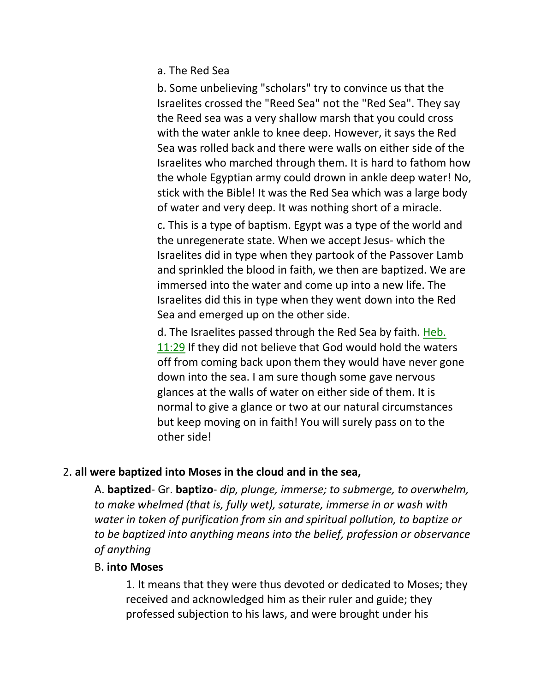a. The Red Sea

b. Some unbelieving "scholars" try to convince us that the Israelites crossed the "Reed Sea" not the "Red Sea". They say the Reed sea was a very shallow marsh that you could cross with the water ankle to knee deep. However, it says the Red Sea was rolled back and there were walls on either side of the Israelites who marched through them. It is hard to fathom how the whole Egyptian army could drown in ankle deep water! No, stick with the Bible! It was the Red Sea which was a large body of water and very deep. It was nothing short of a miracle.

c. This is a type of baptism. Egypt was a type of the world and the unregenerate state. When we accept Jesus- which the Israelites did in type when they partook of the Passover Lamb and sprinkled the blood in faith, we then are baptized. We are immersed into the water and come up into a new life. The Israelites did this in type when they went down into the Red Sea and emerged up on the other side.

d. The Israelites passed through the Red Sea by faith. Heb. 11:29 If they did not believe that God would hold the waters off from coming back upon them they would have never gone down into the sea. I am sure though some gave nervous glances at the walls of water on either side of them. It is normal to give a glance or two at our natural circumstances but keep moving on in faith! You will surely pass on to the other side!

## 2. **all were baptized into Moses in the cloud and in the sea,**

A. **baptized**- Gr. **baptizo**- *dip, plunge, immerse; to submerge, to overwhelm, to make whelmed (that is, fully wet), saturate, immerse in or wash with water in token of purification from sin and spiritual pollution, to baptize or to be baptized into anything means into the belief, profession or observance of anything*

## B. **into Moses**

1. It means that they were thus devoted or dedicated to Moses; they received and acknowledged him as their ruler and guide; they professed subjection to his laws, and were brought under his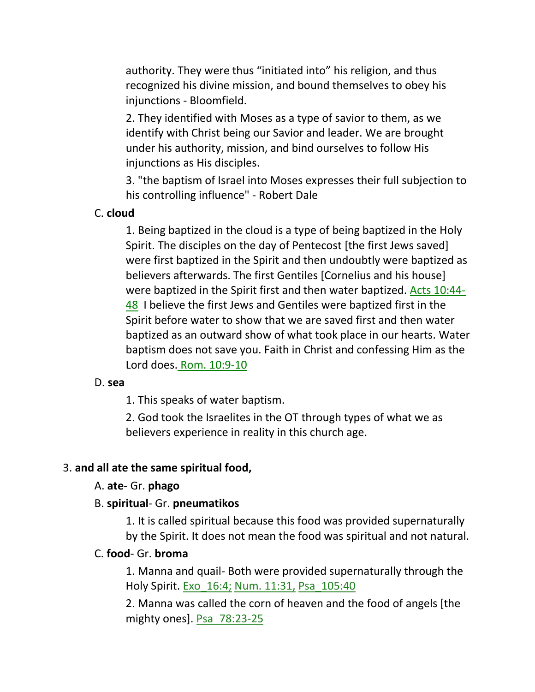authority. They were thus "initiated into" his religion, and thus recognized his divine mission, and bound themselves to obey his injunctions - Bloomfield.

2. They identified with Moses as a type of savior to them, as we identify with Christ being our Savior and leader. We are brought under his authority, mission, and bind ourselves to follow His injunctions as His disciples.

3. "the baptism of Israel into Moses expresses their full subjection to his controlling influence" - Robert Dale

#### C. **cloud**

1. Being baptized in the cloud is a type of being baptized in the Holy Spirit. The disciples on the day of Pentecost [the first Jews saved] were first baptized in the Spirit and then undoubtly were baptized as believers afterwards. The first Gentiles [Cornelius and his house] were baptized in the Spirit first and then water baptized. Acts 10:44- 48 I believe the first Jews and Gentiles were baptized first in the Spirit before water to show that we are saved first and then water baptized as an outward show of what took place in our hearts. Water baptism does not save you. Faith in Christ and confessing Him as the Lord does. Rom. 10:9-10

#### D. **sea**

1. This speaks of water baptism.

2. God took the Israelites in the OT through types of what we as believers experience in reality in this church age.

#### 3. **and all ate the same spiritual food,**

#### A. **ate**- Gr. **phago**

#### B. **spiritual**- Gr. **pneumatikos**

1. It is called spiritual because this food was provided supernaturally by the Spirit. It does not mean the food was spiritual and not natural.

## C. **food**- Gr. **broma**

1. Manna and quail- Both were provided supernaturally through the Holy Spirit. Exo\_16:4; Num. 11:31, Psa\_105:40

2. Manna was called the corn of heaven and the food of angels [the mighty ones]. Psa 78:23-25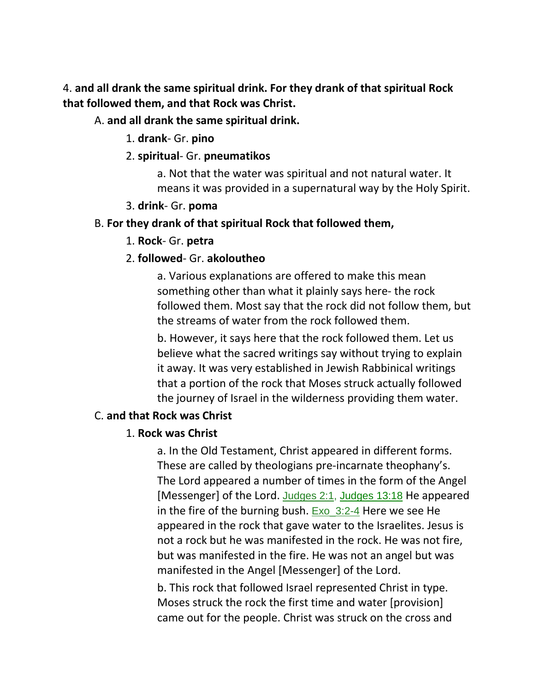4. **and all drank the same spiritual drink. For they drank of that spiritual Rock that followed them, and that Rock was Christ.** 

## A. **and all drank the same spiritual drink.**

- 1. **drank** Gr. **pino**
- 2. **spiritual** Gr. **pneumatikos**

a. Not that the water was spiritual and not natural water. It means it was provided in a supernatural way by the Holy Spirit.

3. **drink**- Gr. **poma**

#### B. **For they drank of that spiritual Rock that followed them,**

1. **Rock**- Gr. **petra**

## 2. **followed**- Gr. **akoloutheo**

a. Various explanations are offered to make this mean something other than what it plainly says here- the rock followed them. Most say that the rock did not follow them, but the streams of water from the rock followed them.

b. However, it says here that the rock followed them. Let us believe what the sacred writings say without trying to explain it away. It was very established in Jewish Rabbinical writings that a portion of the rock that Moses struck actually followed the journey of Israel in the wilderness providing them water.

## C. **and that Rock was Christ**

## 1. **Rock was Christ**

a. In the Old Testament, Christ appeared in different forms. These are called by theologians pre-incarnate theophany's. The Lord appeared a number of times in the form of the Angel [Messenger] of the Lord. Judges 2:1, Judges 13:18 He appeared in the fire of the burning bush.  $Exo$  3:2-4 Here we see He appeared in the rock that gave water to the Israelites. Jesus is not a rock but he was manifested in the rock. He was not fire, but was manifested in the fire. He was not an angel but was manifested in the Angel [Messenger] of the Lord.

b. This rock that followed Israel represented Christ in type. Moses struck the rock the first time and water [provision] came out for the people. Christ was struck on the cross and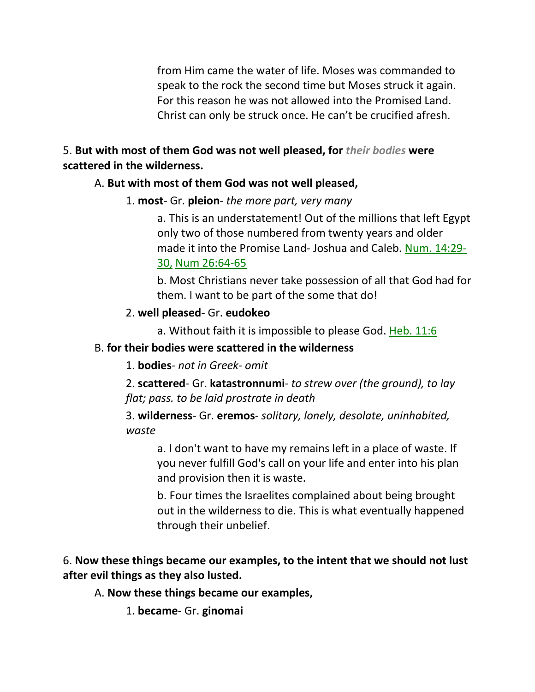from Him came the water of life. Moses was commanded to speak to the rock the second time but Moses struck it again. For this reason he was not allowed into the Promised Land. Christ can only be struck once. He can't be crucified afresh.

## 5. **But with most of them God was not well pleased, for** *their bodies* **were scattered in the wilderness.**

## A. **But with most of them God was not well pleased,**

1. **most**- Gr. **pleion**- *the more part, very many*

a. This is an understatement! Out of the millions that left Egypt only two of those numbered from twenty years and older made it into the Promise Land- Joshua and Caleb. Num. 14:29- 30, Num 26:64-65

b. Most Christians never take possession of all that God had for them. I want to be part of the some that do!

## 2. **well pleased**- Gr. **eudokeo**

a. Without faith it is impossible to please God. Heb. 11:6

## B. **for their bodies were scattered in the wilderness**

1. **bodies**- *not in Greek- omit*

2. **scattered**- Gr. **katastronnumi**- *to strew over (the ground), to lay flat; pass. to be laid prostrate in death*

3. **wilderness**- Gr. **eremos**- *solitary, lonely, desolate, uninhabited, waste*

a. I don't want to have my remains left in a place of waste. If you never fulfill God's call on your life and enter into his plan and provision then it is waste.

b. Four times the Israelites complained about being brought out in the wilderness to die. This is what eventually happened through their unbelief.

# 6. **Now these things became our examples, to the intent that we should not lust after evil things as they also lusted.**

## A. **Now these things became our examples,**

1. **became**- Gr. **ginomai**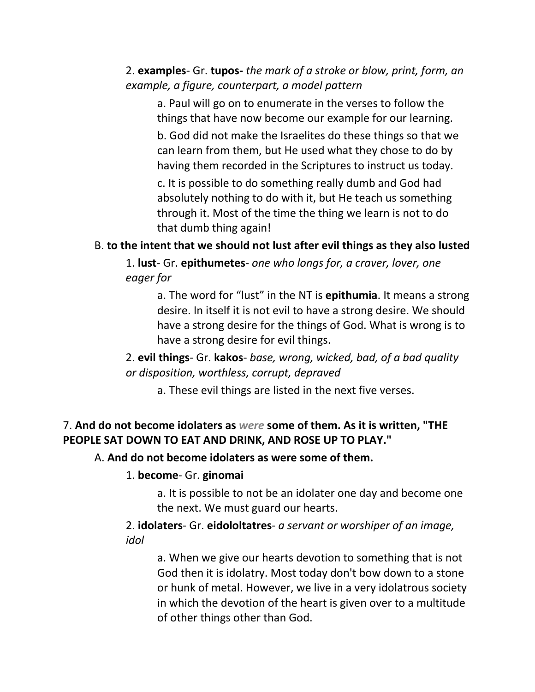## 2. **examples**- Gr. **tupos-** *the mark of a stroke or blow, print, form, an example, a figure, counterpart, a model pattern*

a. Paul will go on to enumerate in the verses to follow the things that have now become our example for our learning.

b. God did not make the Israelites do these things so that we can learn from them, but He used what they chose to do by having them recorded in the Scriptures to instruct us today.

c. It is possible to do something really dumb and God had absolutely nothing to do with it, but He teach us something through it. Most of the time the thing we learn is not to do that dumb thing again!

B. **to the intent that we should not lust after evil things as they also lusted**

1. **lust**- Gr. **epithumetes**- *one who longs for, a craver, lover, one eager for*

a. The word for "lust" in the NT is **epithumia**. It means a strong desire. In itself it is not evil to have a strong desire. We should have a strong desire for the things of God. What is wrong is to have a strong desire for evil things.

2. **evil things**- Gr. **kakos**- *base, wrong, wicked, bad, of a bad quality or disposition, worthless, corrupt, depraved*

a. These evil things are listed in the next five verses.

# 7. **And do not become idolaters as** *were* **some of them. As it is written, "THE PEOPLE SAT DOWN TO EAT AND DRINK, AND ROSE UP TO PLAY."**

## A. **And do not become idolaters as were some of them.**

## 1. **become**- Gr. **ginomai**

a. It is possible to not be an idolater one day and become one the next. We must guard our hearts.

2. **idolaters**- Gr. **eidololtatres**- *a servant or worshiper of an image, idol*

a. When we give our hearts devotion to something that is not God then it is idolatry. Most today don't bow down to a stone or hunk of metal. However, we live in a very idolatrous society in which the devotion of the heart is given over to a multitude of other things other than God.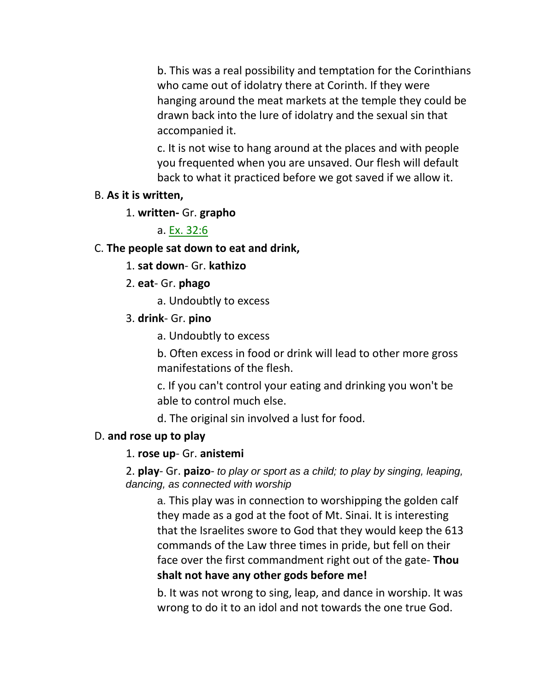b. This was a real possibility and temptation for the Corinthians who came out of idolatry there at Corinth. If they were hanging around the meat markets at the temple they could be drawn back into the lure of idolatry and the sexual sin that accompanied it.

c. It is not wise to hang around at the places and with people you frequented when you are unsaved. Our flesh will default back to what it practiced before we got saved if we allow it.

## B. **As it is written,**

1. **written-** Gr. **grapho**

a. Ex. 32:6

## C. **The people sat down to eat and drink,**

- 1. **sat down** Gr. **kathizo**
- 2. **eat** Gr. **phago**
	- a. Undoubtly to excess
- 3. **drink** Gr. **pino**
	- a. Undoubtly to excess

b. Often excess in food or drink will lead to other more gross manifestations of the flesh.

c. If you can't control your eating and drinking you won't be able to control much else.

d. The original sin involved a lust for food.

# D. **and rose up to play**

## 1. **rose up**- Gr. **anistemi**

2. **play**- Gr. **paizo**- *to play or sport as a child; to play by singing, leaping, dancing, as connected with worship*

a. This play was in connection to worshipping the golden calf they made as a god at the foot of Mt. Sinai. It is interesting that the Israelites swore to God that they would keep the 613 commands of the Law three times in pride, but fell on their face over the first commandment right out of the gate- **Thou shalt not have any other gods before me!**

b. It was not wrong to sing, leap, and dance in worship. It was wrong to do it to an idol and not towards the one true God.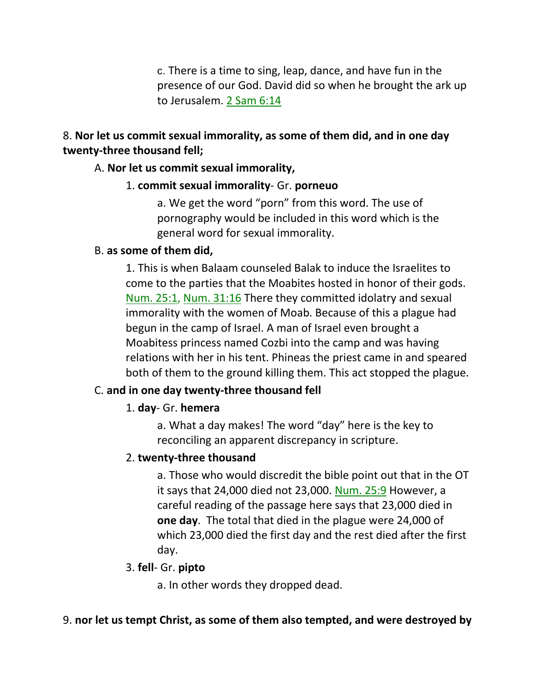c. There is a time to sing, leap, dance, and have fun in the presence of our God. David did so when he brought the ark up to Jerusalem. 2 Sam 6:14

## 8. **Nor let us commit sexual immorality, as some of them did, and in one day twenty-three thousand fell;**

#### A. **Nor let us commit sexual immorality,**

#### 1. **commit sexual immorality**- Gr. **porneuo**

a. We get the word "porn" from this word. The use of pornography would be included in this word which is the general word for sexual immorality.

#### B. **as some of them did,**

1. This is when Balaam counseled Balak to induce the Israelites to come to the parties that the Moabites hosted in honor of their gods. Num. 25:1, Num. 31:16 There they committed idolatry and sexual immorality with the women of Moab. Because of this a plague had begun in the camp of Israel. A man of Israel even brought a Moabitess princess named Cozbi into the camp and was having relations with her in his tent. Phineas the priest came in and speared both of them to the ground killing them. This act stopped the plague.

## C. **and in one day twenty-three thousand fell**

## 1. **day**- Gr. **hemera**

a. What a day makes! The word "day" here is the key to reconciling an apparent discrepancy in scripture.

#### 2. **twenty-three thousand**

a. Those who would discredit the bible point out that in the OT it says that 24,000 died not 23,000. Num. 25:9 However, a careful reading of the passage here says that 23,000 died in **one day**. The total that died in the plague were 24,000 of which 23,000 died the first day and the rest died after the first day.

#### 3. **fell**- Gr. **pipto**

a. In other words they dropped dead.

#### 9. **nor let us tempt Christ, as some of them also tempted, and were destroyed by**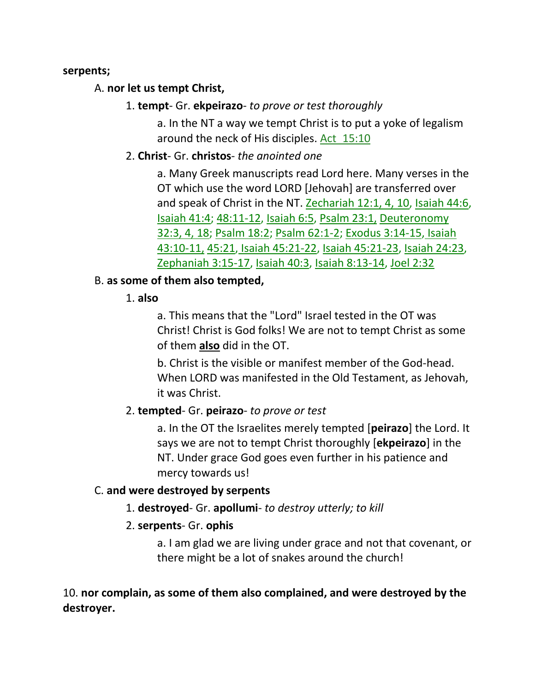#### **serpents;**

## A. **nor let us tempt Christ,**

## 1. **tempt**- Gr. **ekpeirazo**- *to prove or test thoroughly*

a. In the NT a way we tempt Christ is to put a yoke of legalism around the neck of His disciples. Act\_15:10

## 2. **Christ**- Gr. **christos**- *the anointed one*

a. Many Greek manuscripts read Lord here. Many verses in the OT which use the word LORD [Jehovah] are transferred over and speak of Christ in the NT. Zechariah 12:1, 4, 10, Isaiah 44:6, Isaiah 41:4; 48:11-12, Isaiah 6:5, Psalm 23:1, Deuteronomy 32:3, 4, 18; Psalm 18:2; Psalm 62:1-2; Exodus 3:14-15, Isaiah 43:10-11, 45:21, Isaiah 45:21-22, Isaiah 45:21-23, Isaiah 24:23, Zephaniah 3:15-17, Isaiah 40:3, Isaiah 8:13-14, Joel 2:32

## B. **as some of them also tempted,**

## 1. **also**

a. This means that the "Lord" Israel tested in the OT was Christ! Christ is God folks! We are not to tempt Christ as some of them **also** did in the OT.

b. Christ is the visible or manifest member of the God-head. When LORD was manifested in the Old Testament, as Jehovah, it was Christ.

## 2. **tempted**- Gr. **peirazo**- *to prove or test*

a. In the OT the Israelites merely tempted [**peirazo**] the Lord. It says we are not to tempt Christ thoroughly [**ekpeirazo**] in the NT. Under grace God goes even further in his patience and mercy towards us!

## C. **and were destroyed by serpents**

1. **destroyed**- Gr. **apollumi**- *to destroy utterly; to kill*

## 2. **serpents**- Gr. **ophis**

a. I am glad we are living under grace and not that covenant, or there might be a lot of snakes around the church!

## 10. **nor complain, as some of them also complained, and were destroyed by the destroyer.**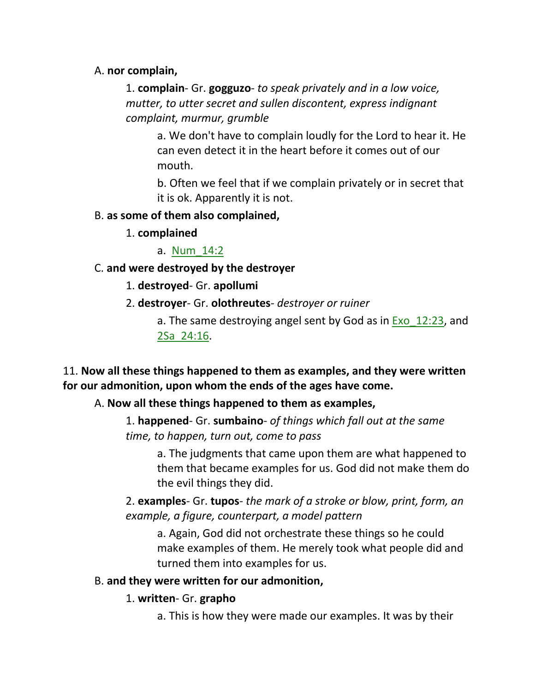## A. **nor complain,**

1. **complain**- Gr. **gogguzo**- *to speak privately and in a low voice, mutter, to utter secret and sullen discontent, express indignant complaint, murmur, grumble*

a. We don't have to complain loudly for the Lord to hear it. He can even detect it in the heart before it comes out of our mouth.

b. Often we feel that if we complain privately or in secret that it is ok. Apparently it is not.

#### B. **as some of them also complained,**

1. **complained**

a. Num\_14:2

#### C. **and were destroyed by the destroyer**

- 1. **destroyed** Gr. **apollumi**
- 2. **destroyer** Gr. **olothreutes** *destroyer or ruiner*

a. The same destroying angel sent by God as in  $Exo$  12:23, and 2Sa\_24:16.

## 11. **Now all these things happened to them as examples, and they were written for our admonition, upon whom the ends of the ages have come.**

#### A. **Now all these things happened to them as examples,**

1. **happened**- Gr. **sumbaino**- *of things which fall out at the same time, to happen, turn out, come to pass*

a. The judgments that came upon them are what happened to them that became examples for us. God did not make them do the evil things they did.

2. **examples**- Gr. **tupos**- *the mark of a stroke or blow, print, form, an example, a figure, counterpart, a model pattern*

a. Again, God did not orchestrate these things so he could make examples of them. He merely took what people did and turned them into examples for us.

#### B. **and they were written for our admonition,**

#### 1. **written**- Gr. **grapho**

a. This is how they were made our examples. It was by their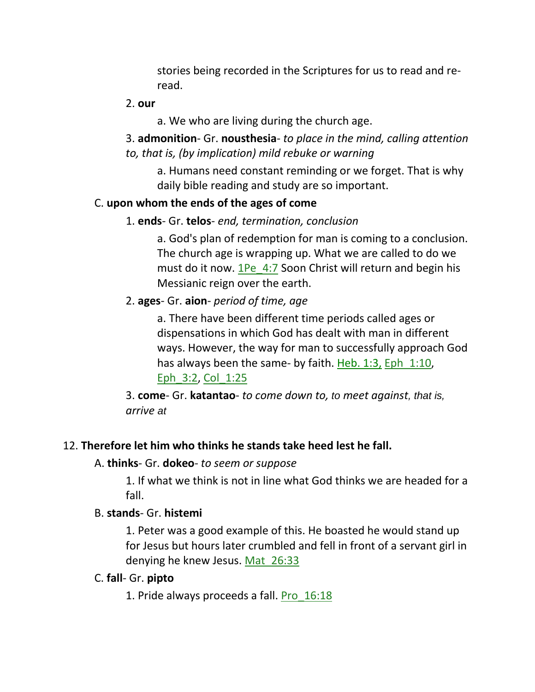stories being recorded in the Scriptures for us to read and reread.

#### 2. **our**

a. We who are living during the church age.

3. **admonition**- Gr. **nousthesia**- *to place in the mind, calling attention to, that is, (by implication) mild rebuke or warning*

a. Humans need constant reminding or we forget. That is why daily bible reading and study are so important.

## C. **upon whom the ends of the ages of come**

1. **ends**- Gr. **telos**- *end, termination, conclusion*

a. God's plan of redemption for man is coming to a conclusion. The church age is wrapping up. What we are called to do we must do it now. 1Pe 4:7 Soon Christ will return and begin his Messianic reign over the earth.

2. **ages**- Gr. **aion**- *period of time, age*

a. There have been different time periods called ages or dispensations in which God has dealt with man in different ways. However, the way for man to successfully approach God has always been the same- by faith. Heb. 1:3, Eph 1:10, Eph\_3:2, Col\_1:25

3. **come**- Gr. **katantao**- *to come down to, to meet against, that is, arrive at*

## 12. **Therefore let him who thinks he stands take heed lest he fall.**

#### A. **thinks**- Gr. **dokeo**- *to seem or suppose*

1. If what we think is not in line what God thinks we are headed for a fall.

#### B. **stands**- Gr. **histemi**

1. Peter was a good example of this. He boasted he would stand up for Jesus but hours later crumbled and fell in front of a servant girl in denying he knew Jesus. Mat\_26:33

#### C. **fall**- Gr. **pipto**

1. Pride always proceeds a fall. Pro\_16:18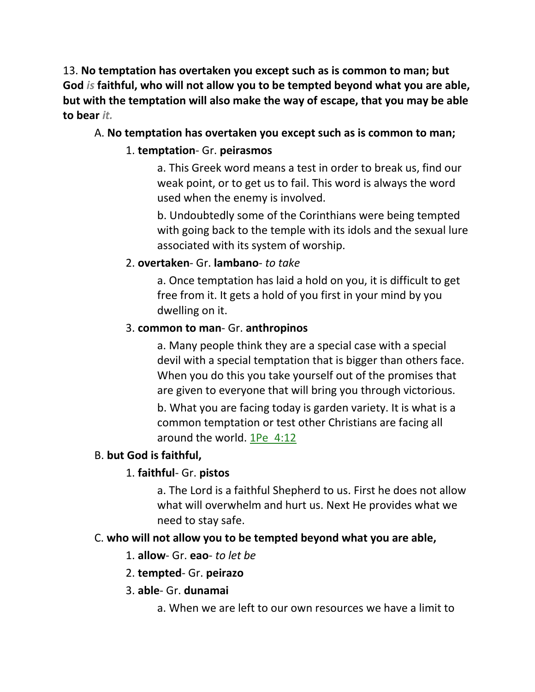13. **No temptation has overtaken you except such as is common to man; but God** *is* **faithful, who will not allow you to be tempted beyond what you are able, but with the temptation will also make the way of escape, that you may be able to bear** *it.*

# A. **No temptation has overtaken you except such as is common to man;**

# 1. **temptation**- Gr. **peirasmos**

a. This Greek word means a test in order to break us, find our weak point, or to get us to fail. This word is always the word used when the enemy is involved.

b. Undoubtedly some of the Corinthians were being tempted with going back to the temple with its idols and the sexual lure associated with its system of worship.

# 2. **overtaken**- Gr. **lambano**- *to take*

a. Once temptation has laid a hold on you, it is difficult to get free from it. It gets a hold of you first in your mind by you dwelling on it.

## 3. **common to man**- Gr. **anthropinos**

a. Many people think they are a special case with a special devil with a special temptation that is bigger than others face. When you do this you take yourself out of the promises that are given to everyone that will bring you through victorious.

b. What you are facing today is garden variety. It is what is a common temptation or test other Christians are facing all around the world. 1Pe\_4:12

# B. **but God is faithful,**

# 1. **faithful**- Gr. **pistos**

a. The Lord is a faithful Shepherd to us. First he does not allow what will overwhelm and hurt us. Next He provides what we need to stay safe.

# C. **who will not allow you to be tempted beyond what you are able,**

## 1. **allow**- Gr. **eao**- *to let be*

## 2. **tempted**- Gr. **peirazo**

## 3. **able**- Gr. **dunamai**

a. When we are left to our own resources we have a limit to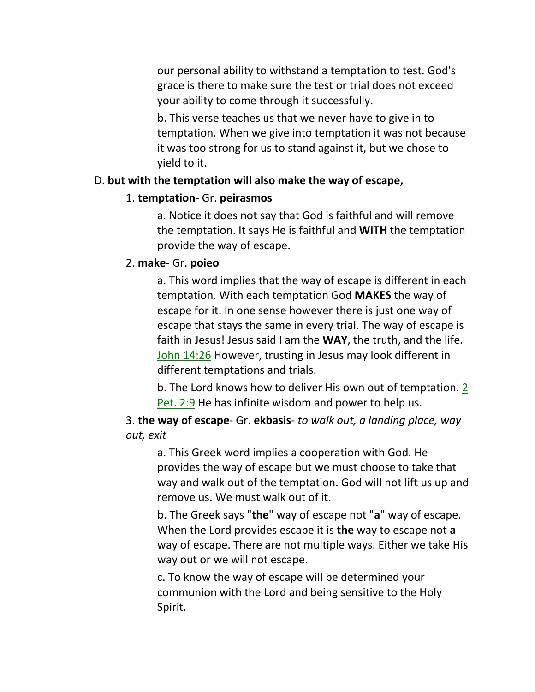our personal ability to withstand a temptation to test. God's grace is there to make sure the test or trial does not exceed your ability to come through it successfully.

b. This verse teaches us that we never have to give in to temptation. When we give into temptation it was not because it was too strong for us to stand against it, but we chose to yield to it.

#### D. **but with the temptation will also make the way of escape,**

#### 1. **temptation**- Gr. **peirasmos**

a. Notice it does not say that God is faithful and will remove the temptation. It says He is faithful and **WITH** the temptation provide the way of escape.

#### 2. **make**- Gr. **poieo**

a. This word implies that the way of escape is different in each temptation. With each temptation God **MAKES** the way of escape for it. In one sense however there is just one way of escape that stays the same in every trial. The way of escape is faith in Jesus! Jesus said I am the **WAY**, the truth, and the life. John 14:26 However, trusting in Jesus may look different in different temptations and trials.

b. The Lord knows how to deliver His own out of temptation. 2 Pet. 2:9 He has infinite wisdom and power to help us.

3. **the way of escape**- Gr. **ekbasis**- *to walk out, a landing place, way out, exit*

a. This Greek word implies a cooperation with God. He provides the way of escape but we must choose to take that way and walk out of the temptation. God will not lift us up and remove us. We must walk out of it.

b. The Greek says "**the**" way of escape not "**a**" way of escape. When the Lord provides escape it is **the** way to escape not **a** way of escape. There are not multiple ways. Either we take His way out or we will not escape.

c. To know the way of escape will be determined your communion with the Lord and being sensitive to the Holy Spirit.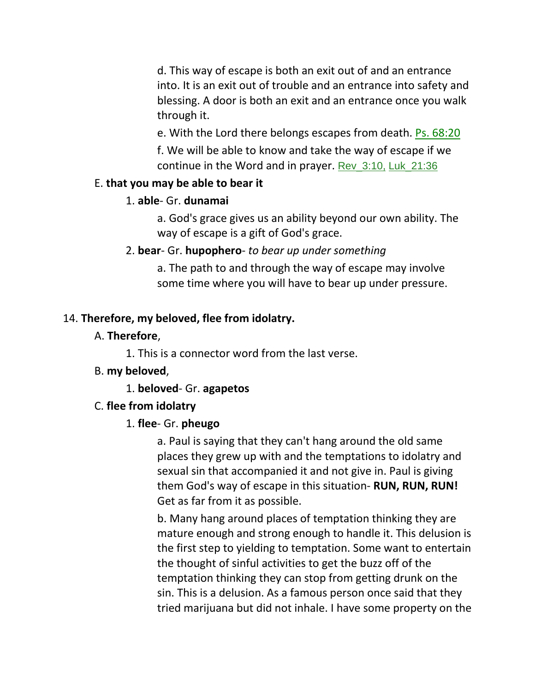d. This way of escape is both an exit out of and an entrance into. It is an exit out of trouble and an entrance into safety and blessing. A door is both an exit and an entrance once you walk through it.

e. With the Lord there belongs escapes from death. Ps. 68:20

f. We will be able to know and take the way of escape if we continue in the Word and in prayer. Rev\_3:10, Luk\_21:36

#### E. **that you may be able to bear it**

#### 1. **able**- Gr. **dunamai**

a. God's grace gives us an ability beyond our own ability. The way of escape is a gift of God's grace.

2. **bear**- Gr. **hupophero**- *to bear up under something*

a. The path to and through the way of escape may involve some time where you will have to bear up under pressure.

## 14. **Therefore, my beloved, flee from idolatry.**

#### A. **Therefore**,

1. This is a connector word from the last verse.

## B. **my beloved**,

1. **beloved**- Gr. **agapetos**

## C. **flee from idolatry**

## 1. **flee**- Gr. **pheugo**

a. Paul is saying that they can't hang around the old same places they grew up with and the temptations to idolatry and sexual sin that accompanied it and not give in. Paul is giving them God's way of escape in this situation- **RUN, RUN, RUN!**  Get as far from it as possible.

b. Many hang around places of temptation thinking they are mature enough and strong enough to handle it. This delusion is the first step to yielding to temptation. Some want to entertain the thought of sinful activities to get the buzz off of the temptation thinking they can stop from getting drunk on the sin. This is a delusion. As a famous person once said that they tried marijuana but did not inhale. I have some property on the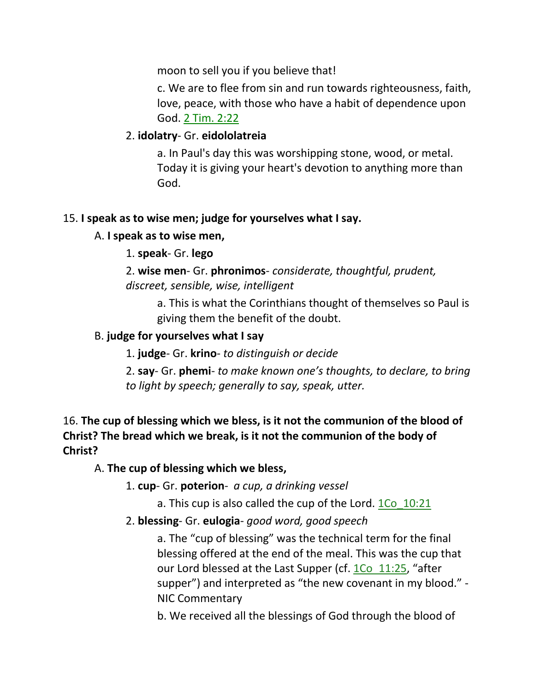moon to sell you if you believe that!

c. We are to flee from sin and run towards righteousness, faith, love, peace, with those who have a habit of dependence upon God. 2 Tim. 2:22

## 2. **idolatry**- Gr. **eidololatreia**

a. In Paul's day this was worshipping stone, wood, or metal. Today it is giving your heart's devotion to anything more than God.

## 15. **I speak as to wise men; judge for yourselves what I say.**

## A. **I speak as to wise men,**

## 1. **speak**- Gr. **lego**

2. **wise men**- Gr. **phronimos**- *considerate, thoughtful, prudent, discreet, sensible, wise, intelligent*

a. This is what the Corinthians thought of themselves so Paul is giving them the benefit of the doubt.

## B. **judge for yourselves what I say**

1. **judge**- Gr. **krino**- *to distinguish or decide*

2. **say**- Gr. **phemi**- *to make known one's thoughts, to declare, to bring to light by speech; generally to say, speak, utter.*

# 16. **The cup of blessing which we bless, is it not the communion of the blood of Christ? The bread which we break, is it not the communion of the body of Christ?**

## A. **The cup of blessing which we bless,**

1. **cup**- Gr. **poterion**- *a cup, a drinking vessel*

a. This cup is also called the cup of the Lord. 1Co 10:21

## 2. **blessing**- Gr. **eulogia**- *good word, good speech*

a. The "cup of blessing" was the technical term for the final blessing offered at the end of the meal. This was the cup that our Lord blessed at the Last Supper (cf. 1Co 11:25, "after supper") and interpreted as "the new covenant in my blood." - NIC Commentary

b. We received all the blessings of God through the blood of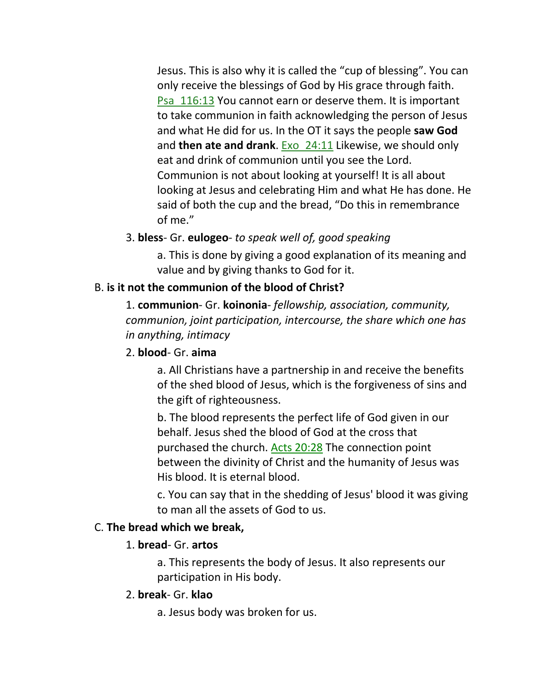Jesus. This is also why it is called the "cup of blessing". You can only receive the blessings of God by His grace through faith. Psa\_116:13 You cannot earn or deserve them. It is important to take communion in faith acknowledging the person of Jesus and what He did for us. In the OT it says the people **saw God** and **then ate and drank**. Exo\_24:11 Likewise, we should only eat and drink of communion until you see the Lord. Communion is not about looking at yourself! It is all about looking at Jesus and celebrating Him and what He has done. He said of both the cup and the bread, "Do this in remembrance of me."

## 3. **bless**- Gr. **eulogeo**- *to speak well of, good speaking*

a. This is done by giving a good explanation of its meaning and value and by giving thanks to God for it.

#### B. **is it not the communion of the blood of Christ?**

1. **communion**- Gr. **koinonia**- *fellowship, association, community, communion, joint participation, intercourse, the share which one has in anything, intimacy*

#### 2. **blood**- Gr. **aima**

a. All Christians have a partnership in and receive the benefits of the shed blood of Jesus, which is the forgiveness of sins and the gift of righteousness.

b. The blood represents the perfect life of God given in our behalf. Jesus shed the blood of God at the cross that purchased the church. Acts 20:28 The connection point between the divinity of Christ and the humanity of Jesus was His blood. It is eternal blood.

c. You can say that in the shedding of Jesus' blood it was giving to man all the assets of God to us.

#### C. **The bread which we break,**

#### 1. **bread**- Gr. **artos**

a. This represents the body of Jesus. It also represents our participation in His body.

#### 2. **break**- Gr. **klao**

a. Jesus body was broken for us.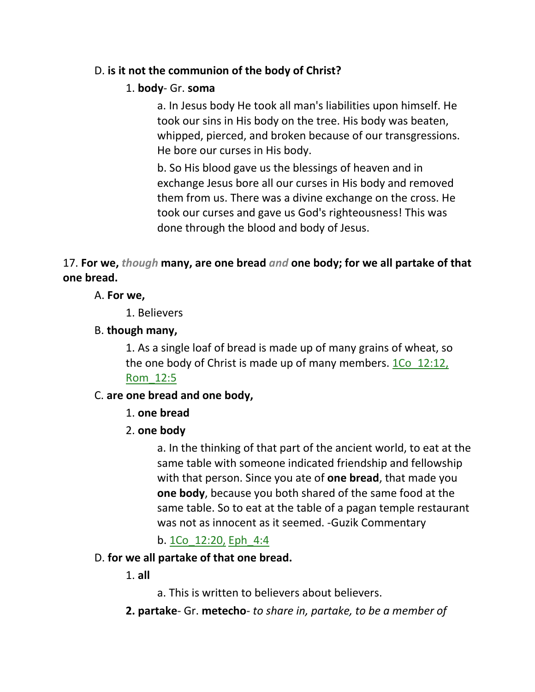## D. **is it not the communion of the body of Christ?**

## 1. **body**- Gr. **soma**

a. In Jesus body He took all man's liabilities upon himself. He took our sins in His body on the tree. His body was beaten, whipped, pierced, and broken because of our transgressions. He bore our curses in His body.

b. So His blood gave us the blessings of heaven and in exchange Jesus bore all our curses in His body and removed them from us. There was a divine exchange on the cross. He took our curses and gave us God's righteousness! This was done through the blood and body of Jesus.

# 17. **For we,** *though* **many, are one bread** *and* **one body; for we all partake of that one bread.**

## A. **For we,**

1. Believers

## B. **though many,**

1. As a single loaf of bread is made up of many grains of wheat, so the one body of Christ is made up of many members. 1Co 12:12, Rom\_12:5

# C. **are one bread and one body,**

- 1. **one bread**
- 2. **one body**

a. In the thinking of that part of the ancient world, to eat at the same table with someone indicated friendship and fellowship with that person. Since you ate of **one bread**, that made you **one body**, because you both shared of the same food at the same table. So to eat at the table of a pagan temple restaurant was not as innocent as it seemed. -Guzik Commentary

b. 1Co\_12:20, Eph\_4:4

## D. **for we all partake of that one bread.**

1. **all**

a. This is written to believers about believers.

**2. partake**- Gr. **metecho**- *to share in, partake, to be a member of*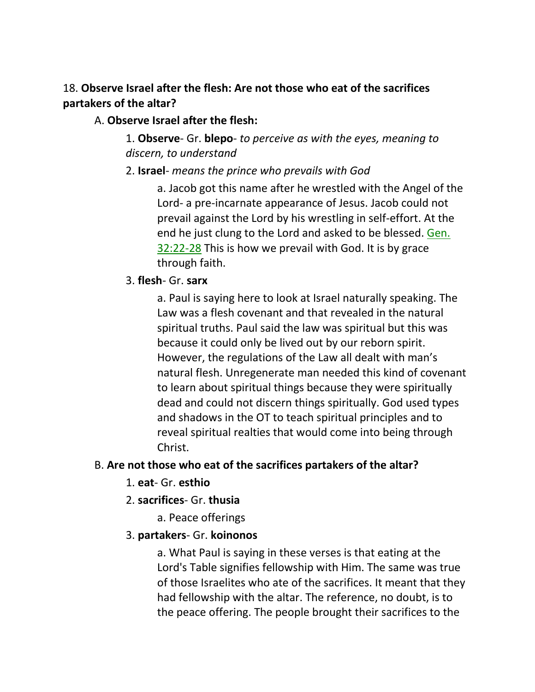# 18. **Observe Israel after the flesh: Are not those who eat of the sacrifices partakers of the altar?**

# A. **Observe Israel after the flesh:**

1. **Observe**- Gr. **blepo**- *to perceive as with the eyes, meaning to discern, to understand* 

2. **Israel**- *means the prince who prevails with God*

a. Jacob got this name after he wrestled with the Angel of the Lord- a pre-incarnate appearance of Jesus. Jacob could not prevail against the Lord by his wrestling in self-effort. At the end he just clung to the Lord and asked to be blessed. Gen. 32:22-28 This is how we prevail with God. It is by grace through faith.

# 3. **flesh**- Gr. **sarx**

a. Paul is saying here to look at Israel naturally speaking. The Law was a flesh covenant and that revealed in the natural spiritual truths. Paul said the law was spiritual but this was because it could only be lived out by our reborn spirit. However, the regulations of the Law all dealt with man's natural flesh. Unregenerate man needed this kind of covenant to learn about spiritual things because they were spiritually dead and could not discern things spiritually. God used types and shadows in the OT to teach spiritual principles and to reveal spiritual realties that would come into being through Christ.

# B. **Are not those who eat of the sacrifices partakers of the altar?**

- 1. **eat** Gr. **esthio**
- 2. **sacrifices** Gr. **thusia**
	- a. Peace offerings
- 3. **partakers** Gr. **koinonos**

a. What Paul is saying in these verses is that eating at the Lord's Table signifies fellowship with Him. The same was true of those Israelites who ate of the sacrifices. It meant that they had fellowship with the altar. The reference, no doubt, is to the peace offering. The people brought their sacrifices to the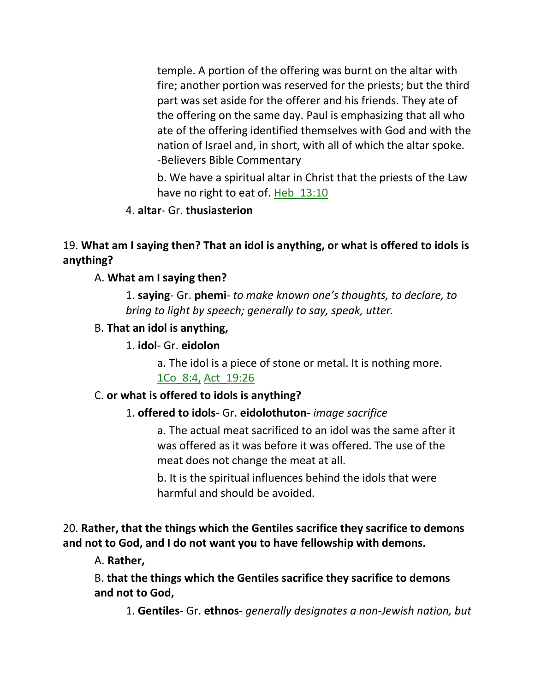temple. A portion of the offering was burnt on the altar with fire; another portion was reserved for the priests; but the third part was set aside for the offerer and his friends. They ate of the offering on the same day. Paul is emphasizing that all who ate of the offering identified themselves with God and with the nation of Israel and, in short, with all of which the altar spoke. -Believers Bible Commentary

b. We have a spiritual altar in Christ that the priests of the Law have no right to eat of. Heb\_13:10

4. **altar**- Gr. **thusiasterion**

# 19. **What am I saying then? That an idol is anything, or what is offered to idols is anything?**

#### A. **What am I saying then?**

1. **saying**- Gr. **phemi**- *to make known one's thoughts, to declare, to bring to light by speech; generally to say, speak, utter.*

#### B. **That an idol is anything,**

#### 1. **idol**- Gr. **eidolon**

a. The idol is a piece of stone or metal. It is nothing more. 1Co\_8:4, Act\_19:26

#### C. **or what is offered to idols is anything?**

## 1. **offered to idols**- Gr. **eidolothuton**- *image sacrifice*

a. The actual meat sacrificed to an idol was the same after it was offered as it was before it was offered. The use of the meat does not change the meat at all.

b. It is the spiritual influences behind the idols that were harmful and should be avoided.

## 20. **Rather, that the things which the Gentiles sacrifice they sacrifice to demons and not to God, and I do not want you to have fellowship with demons.**

A. **Rather,**

B. **that the things which the Gentiles sacrifice they sacrifice to demons and not to God,**

1. **Gentiles**- Gr. **ethnos**- *generally designates a non-Jewish nation, but*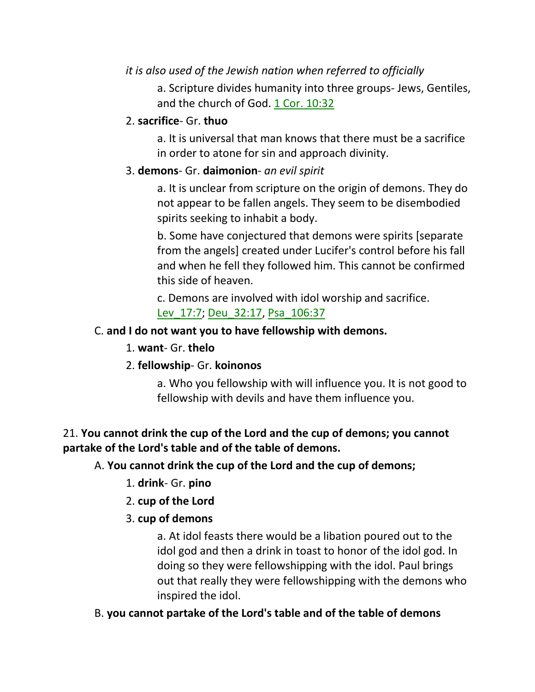# *it is also used of the Jewish nation when referred to officially*

a. Scripture divides humanity into three groups- Jews, Gentiles, and the church of God. 1 Cor. 10:32

## 2. **sacrifice**- Gr. **thuo**

a. It is universal that man knows that there must be a sacrifice in order to atone for sin and approach divinity.

## 3. **demons**- Gr. **daimonion**- *an evil spirit*

a. It is unclear from scripture on the origin of demons. They do not appear to be fallen angels. They seem to be disembodied spirits seeking to inhabit a body.

b. Some have conjectured that demons were spirits [separate from the angels] created under Lucifer's control before his fall and when he fell they followed him. This cannot be confirmed this side of heaven.

c. Demons are involved with idol worship and sacrifice. Lev 17:7; Deu 32:17, Psa 106:37

# C. **and I do not want you to have fellowship with demons.**

- 1. **want** Gr. **thelo**
- 2. **fellowship** Gr. **koinonos**

a. Who you fellowship with will influence you. It is not good to fellowship with devils and have them influence you.

# 21. **You cannot drink the cup of the Lord and the cup of demons; you cannot partake of the Lord's table and of the table of demons.**

# A. **You cannot drink the cup of the Lord and the cup of demons;**

- 1. **drink** Gr. **pino**
- 2. **cup of the Lord**

## 3. **cup of demons**

a. At idol feasts there would be a libation poured out to the idol god and then a drink in toast to honor of the idol god. In doing so they were fellowshipping with the idol. Paul brings out that really they were fellowshipping with the demons who inspired the idol.

## B. **you cannot partake of the Lord's table and of the table of demons**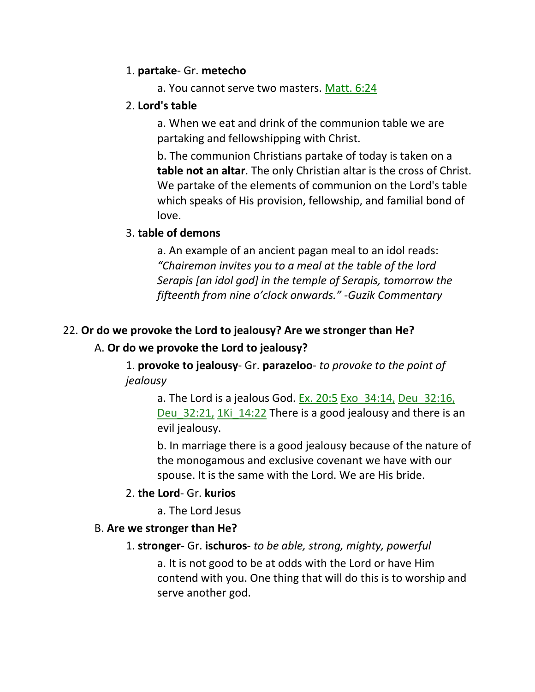#### 1. **partake**- Gr. **metecho**

a. You cannot serve two masters. Matt. 6:24

## 2. **Lord's table**

a. When we eat and drink of the communion table we are partaking and fellowshipping with Christ.

b. The communion Christians partake of today is taken on a **table not an altar**. The only Christian altar is the cross of Christ. We partake of the elements of communion on the Lord's table which speaks of His provision, fellowship, and familial bond of love.

## 3. **table of demons**

a. An example of an ancient pagan meal to an idol reads: *"Chairemon invites you to a meal at the table of the lord Serapis [an idol god] in the temple of Serapis, tomorrow the fifteenth from nine o'clock onwards." -Guzik Commentary*

## 22. **Or do we provoke the Lord to jealousy? Are we stronger than He?**

## A. **Or do we provoke the Lord to jealousy?**

1. **provoke to jealousy**- Gr. **parazeloo**- *to provoke to the point of jealousy*

a. The Lord is a jealous God. Ex. 20:5 Exo $-34:14$ , Deu $-32:16$ , Deu 32:21, 1Ki 14:22 There is a good jealousy and there is an evil jealousy.

b. In marriage there is a good jealousy because of the nature of the monogamous and exclusive covenant we have with our spouse. It is the same with the Lord. We are His bride.

## 2. **the Lord**- Gr. **kurios**

a. The Lord Jesus

## B. **Are we stronger than He?**

## 1. **stronger**- Gr. **ischuros**- *to be able, strong, mighty, powerful*

a. It is not good to be at odds with the Lord or have Him contend with you. One thing that will do this is to worship and serve another god.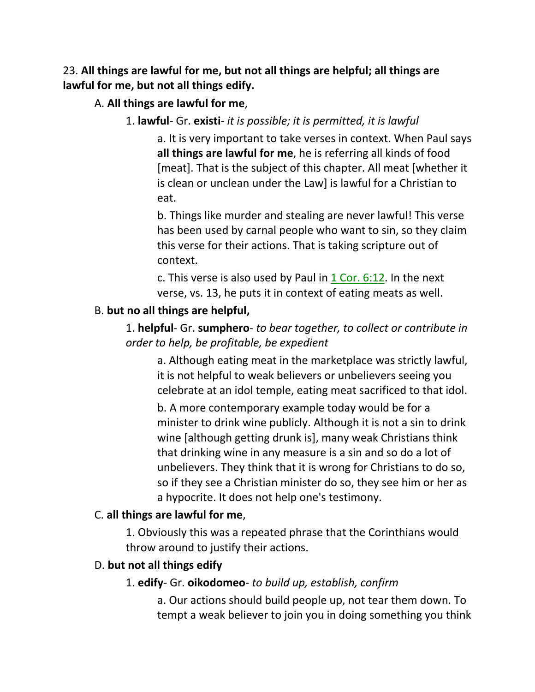23. **All things are lawful for me, but not all things are helpful; all things are lawful for me, but not all things edify.** 

A. **All things are lawful for me**,

#### 1. **lawful**- Gr. **existi**- *it is possible; it is permitted, it is lawful*

a. It is very important to take verses in context. When Paul says **all things are lawful for me**, he is referring all kinds of food [meat]. That is the subject of this chapter. All meat [whether it is clean or unclean under the Law] is lawful for a Christian to eat.

b. Things like murder and stealing are never lawful! This verse has been used by carnal people who want to sin, so they claim this verse for their actions. That is taking scripture out of context.

c. This verse is also used by Paul in 1 Cor. 6:12. In the next verse, vs. 13, he puts it in context of eating meats as well.

#### B. **but no all things are helpful,**

## 1. **helpful**- Gr. **sumphero**- *to bear together, to collect or contribute in order to help, be profitable, be expedient*

a. Although eating meat in the marketplace was strictly lawful, it is not helpful to weak believers or unbelievers seeing you celebrate at an idol temple, eating meat sacrificed to that idol.

b. A more contemporary example today would be for a minister to drink wine publicly. Although it is not a sin to drink wine [although getting drunk is], many weak Christians think that drinking wine in any measure is a sin and so do a lot of unbelievers. They think that it is wrong for Christians to do so, so if they see a Christian minister do so, they see him or her as a hypocrite. It does not help one's testimony.

#### C. **all things are lawful for me**,

1. Obviously this was a repeated phrase that the Corinthians would throw around to justify their actions.

#### D. **but not all things edify**

#### 1. **edify**- Gr. **oikodomeo**- *to build up, establish, confirm*

a. Our actions should build people up, not tear them down. To tempt a weak believer to join you in doing something you think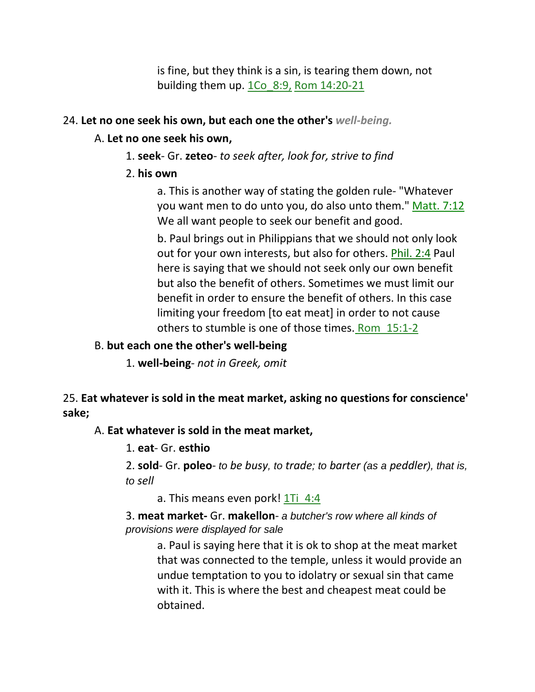is fine, but they think is a sin, is tearing them down, not building them up. 1Co\_8:9, Rom 14:20-21

#### 24. **Let no one seek his own, but each one the other's** *well-being.*

#### A. **Let no one seek his own,**

- 1. **seek** Gr. **zeteo** *to seek after, look for, strive to find*
- 2. **his own**

a. This is another way of stating the golden rule- "Whatever you want men to do unto you, do also unto them." Matt. 7:12 We all want people to seek our benefit and good.

b. Paul brings out in Philippians that we should not only look out for your own interests, but also for others. Phil. 2:4 Paul here is saying that we should not seek only our own benefit but also the benefit of others. Sometimes we must limit our benefit in order to ensure the benefit of others. In this case limiting your freedom [to eat meat] in order to not cause others to stumble is one of those times. Rom\_15:1-2

#### B. **but each one the other's well-being**

1. **well-being**- *not in Greek, omit*

## 25. **Eat whatever is sold in the meat market, asking no questions for conscience' sake;**

A. **Eat whatever is sold in the meat market,**

1. **eat**- Gr. **esthio**

2. **sold**- Gr. **poleo**- *to be busy, to trade; to barter (as a peddler), that is, to sell*

a. This means even pork! 1Ti 4:4

3. **meat market-** Gr. **makellon**- *a butcher's row where all kinds of provisions were displayed for sale*

a. Paul is saying here that it is ok to shop at the meat market that was connected to the temple, unless it would provide an undue temptation to you to idolatry or sexual sin that came with it. This is where the best and cheapest meat could be obtained.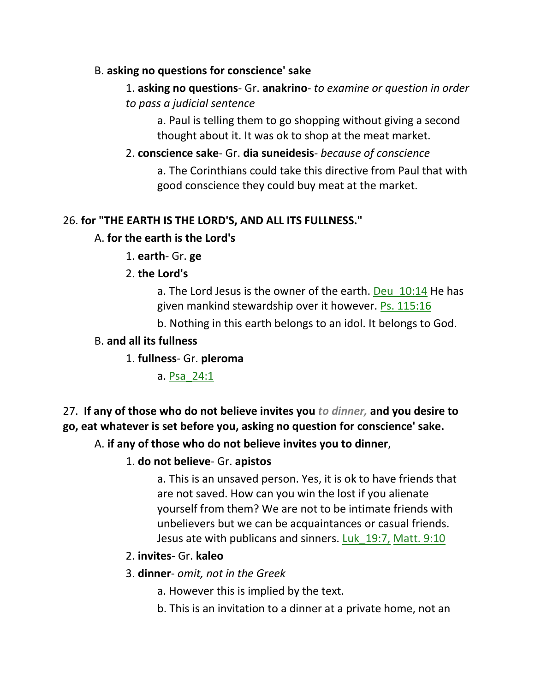## B. **asking no questions for conscience' sake**

# 1. **asking no questions**- Gr. **anakrino**- *to examine or question in order to pass a judicial sentence*

a. Paul is telling them to go shopping without giving a second thought about it. It was ok to shop at the meat market.

# 2. **conscience sake**- Gr. **dia suneidesis**- *because of conscience* a. The Corinthians could take this directive from Paul that with good conscience they could buy meat at the market.

## 26. **for "THE EARTH IS THE LORD'S, AND ALL ITS FULLNESS."**

## A. **for the earth is the Lord's**

1. **earth**- Gr. **ge**

## 2. **the Lord's**

a. The Lord Jesus is the owner of the earth. Deu 10:14 He has given mankind stewardship over it however. Ps. 115:16

b. Nothing in this earth belongs to an idol. It belongs to God.

## B. **and all its fullness**

1. **fullness**- Gr. **pleroma**

a. Psa\_24:1

# 27. **If any of those who do not believe invites you** *to dinner,* **and you desire to go, eat whatever is set before you, asking no question for conscience' sake.**

## A. **if any of those who do not believe invites you to dinner**,

## 1. **do not believe**- Gr. **apistos**

a. This is an unsaved person. Yes, it is ok to have friends that are not saved. How can you win the lost if you alienate yourself from them? We are not to be intimate friends with unbelievers but we can be acquaintances or casual friends. Jesus ate with publicans and sinners. Luk\_19:7, Matt. 9:10

## 2. **invites**- Gr. **kaleo**

## 3. **dinner**- *omit, not in the Greek*

- a. However this is implied by the text.
- b. This is an invitation to a dinner at a private home, not an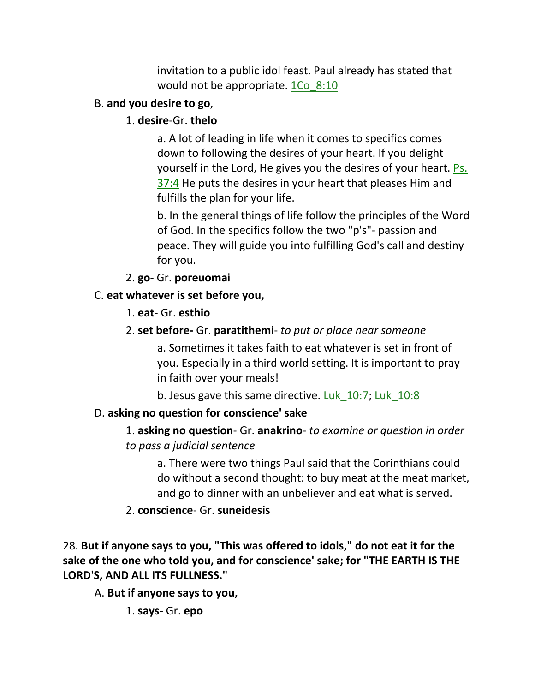invitation to a public idol feast. Paul already has stated that would not be appropriate. 1Co 8:10

# B. **and you desire to go**,

# 1. **desire**-Gr. **thelo**

a. A lot of leading in life when it comes to specifics comes down to following the desires of your heart. If you delight yourself in the Lord, He gives you the desires of your heart. Ps. 37:4 He puts the desires in your heart that pleases Him and fulfills the plan for your life.

b. In the general things of life follow the principles of the Word of God. In the specifics follow the two "p's"- passion and peace. They will guide you into fulfilling God's call and destiny for you.

2. **go**- Gr. **poreuomai**

# C. **eat whatever is set before you,**

- 1. **eat** Gr. **esthio**
- 2. **set before-** Gr. **paratithemi** *to put or place near someone*

a. Sometimes it takes faith to eat whatever is set in front of you. Especially in a third world setting. It is important to pray in faith over your meals!

b. Jesus gave this same directive. Luk\_10:7; Luk\_10:8

# D. **asking no question for conscience' sake**

1. **asking no question**- Gr. **anakrino**- *to examine or question in order to pass a judicial sentence*

a. There were two things Paul said that the Corinthians could do without a second thought: to buy meat at the meat market, and go to dinner with an unbeliever and eat what is served.

2. **conscience**- Gr. **suneidesis**

28. **But if anyone says to you, "This was offered to idols," do not eat it for the sake of the one who told you, and for conscience' sake; for "THE EARTH IS THE LORD'S, AND ALL ITS FULLNESS."** 

A. **But if anyone says to you,**

1. **says**- Gr. **epo**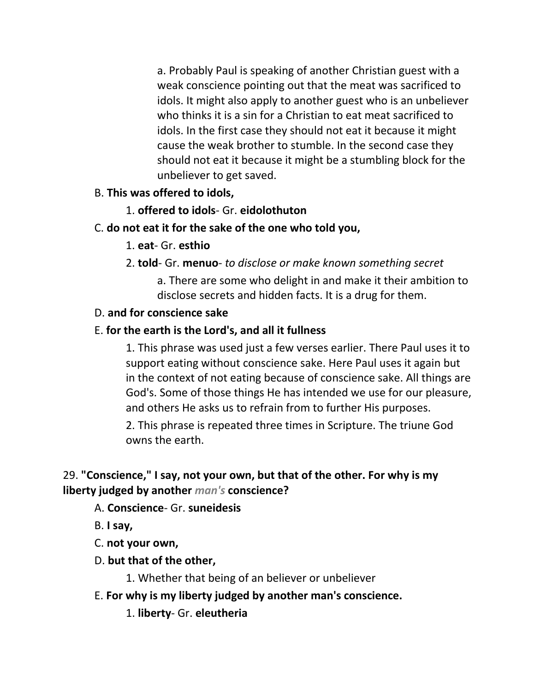a. Probably Paul is speaking of another Christian guest with a weak conscience pointing out that the meat was sacrificed to idols. It might also apply to another guest who is an unbeliever who thinks it is a sin for a Christian to eat meat sacrificed to idols. In the first case they should not eat it because it might cause the weak brother to stumble. In the second case they should not eat it because it might be a stumbling block for the unbeliever to get saved.

## B. **This was offered to idols,**

## 1. **offered to idols**- Gr. **eidolothuton**

## C. **do not eat it for the sake of the one who told you,**

## 1. **eat**- Gr. **esthio**

## 2. **told**- Gr. **menuo**- *to disclose or make known something secret*

a. There are some who delight in and make it their ambition to disclose secrets and hidden facts. It is a drug for them.

## D. **and for conscience sake**

## E. **for the earth is the Lord's, and all it fullness**

1. This phrase was used just a few verses earlier. There Paul uses it to support eating without conscience sake. Here Paul uses it again but in the context of not eating because of conscience sake. All things are God's. Some of those things He has intended we use for our pleasure, and others He asks us to refrain from to further His purposes.

2. This phrase is repeated three times in Scripture. The triune God owns the earth.

# 29. **"Conscience," I say, not your own, but that of the other. For why is my liberty judged by another** *man's* **conscience?**

## A. **Conscience**- Gr. **suneidesis**

B. **I say,**

C. **not your own,**

D. **but that of the other,**

1. Whether that being of an believer or unbeliever

E. **For why is my liberty judged by another man's conscience.** 

1. **liberty**- Gr. **eleutheria**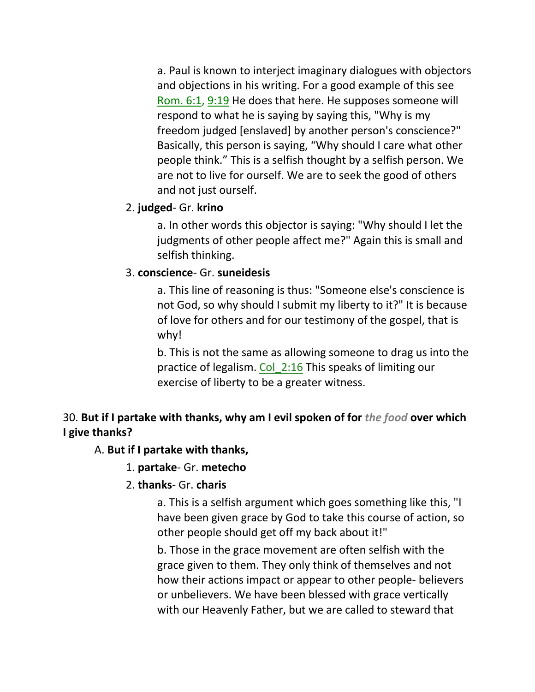a. Paul is known to interject imaginary dialogues with objectors and objections in his writing. For a good example of this see Rom. 6:1, 9:19 He does that here. He supposes someone will respond to what he is saying by saying this, "Why is my freedom judged [enslaved] by another person's conscience?" Basically, this person is saying, "Why should I care what other people think." This is a selfish thought by a selfish person. We are not to live for ourself. We are to seek the good of others and not just ourself.

## 2. **judged**- Gr. **krino**

a. In other words this objector is saying: "Why should I let the judgments of other people affect me?" Again this is small and selfish thinking.

## 3. **conscience**- Gr. **suneidesis**

a. This line of reasoning is thus: "Someone else's conscience is not God, so why should I submit my liberty to it?" It is because of love for others and for our testimony of the gospel, that is why!

b. This is not the same as allowing someone to drag us into the practice of legalism. Col 2:16 This speaks of limiting our exercise of liberty to be a greater witness.

# 30. **But if I partake with thanks, why am I evil spoken of for** *the food* **over which I give thanks?**

## A. **But if I partake with thanks,**

1. **partake**- Gr. **metecho**

## 2. **thanks**- Gr. **charis**

a. This is a selfish argument which goes something like this, "I have been given grace by God to take this course of action, so other people should get off my back about it!"

b. Those in the grace movement are often selfish with the grace given to them. They only think of themselves and not how their actions impact or appear to other people- believers or unbelievers. We have been blessed with grace vertically with our Heavenly Father, but we are called to steward that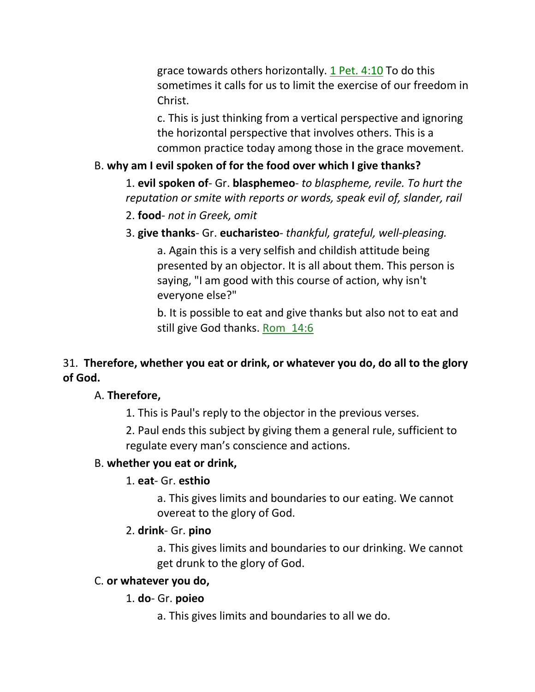grace towards others horizontally. 1 Pet. 4:10 To do this sometimes it calls for us to limit the exercise of our freedom in Christ.

c. This is just thinking from a vertical perspective and ignoring the horizontal perspective that involves others. This is a common practice today among those in the grace movement.

## B. **why am I evil spoken of for the food over which I give thanks?**

1. **evil spoken of**- Gr. **blasphemeo**- *to blaspheme, revile. To hurt the reputation or smite with reports or words, speak evil of, slander, rail* 

- 2. **food** *not in Greek, omit*
- 3. **give thanks** Gr. **eucharisteo** *thankful, grateful, well-pleasing.*

a. Again this is a very selfish and childish attitude being presented by an objector. It is all about them. This person is saying, "I am good with this course of action, why isn't everyone else?"

b. It is possible to eat and give thanks but also not to eat and still give God thanks. Rom\_14:6

## 31. **Therefore, whether you eat or drink, or whatever you do, do all to the glory of God.**

#### A. **Therefore,**

1. This is Paul's reply to the objector in the previous verses.

2. Paul ends this subject by giving them a general rule, sufficient to regulate every man's conscience and actions.

#### B. **whether you eat or drink,**

#### 1. **eat**- Gr. **esthio**

a. This gives limits and boundaries to our eating. We cannot overeat to the glory of God.

#### 2. **drink**- Gr. **pino**

a. This gives limits and boundaries to our drinking. We cannot get drunk to the glory of God.

#### C. **or whatever you do,**

## 1. **do**- Gr. **poieo**

a. This gives limits and boundaries to all we do.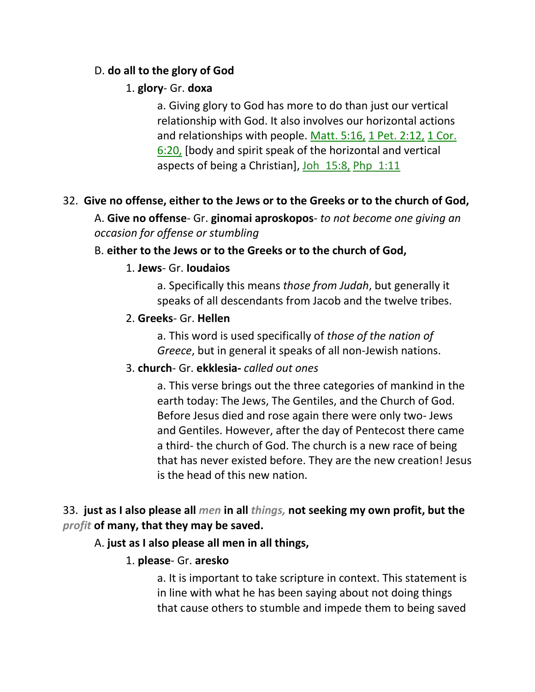## D. **do all to the glory of God**

## 1. **glory**- Gr. **doxa**

a. Giving glory to God has more to do than just our vertical relationship with God. It also involves our horizontal actions and relationships with people. Matt. 5:16, 1 Pet. 2:12, 1 Cor. 6:20, [body and spirit speak of the horizontal and vertical aspects of being a Christian], Joh\_15:8, Php\_1:11

# 32. **Give no offense, either to the Jews or to the Greeks or to the church of God,**

A. **Give no offense**- Gr. **ginomai aproskopos**- *to not become one giving an occasion for offense or stumbling*

## B. **either to the Jews or to the Greeks or to the church of God,**

## 1. **Jews**- Gr. **Ioudaios**

a. Specifically this means *those from Judah*, but generally it speaks of all descendants from Jacob and the twelve tribes.

## 2. **Greeks**- Gr. **Hellen**

a. This word is used specifically of *those of the nation of Greece*, but in general it speaks of all non-Jewish nations.

## 3. **church**- Gr. **ekklesia-** *called out ones*

a. This verse brings out the three categories of mankind in the earth today: The Jews, The Gentiles, and the Church of God. Before Jesus died and rose again there were only two- Jews and Gentiles. However, after the day of Pentecost there came a third- the church of God. The church is a new race of being that has never existed before. They are the new creation! Jesus is the head of this new nation.

## 33. **just as I also please all** *men* **in all** *things,* **not seeking my own profit, but the**  *profit* **of many, that they may be saved.**

## A. **just as I also please all men in all things,**

## 1. **please**- Gr. **aresko**

a. It is important to take scripture in context. This statement is in line with what he has been saying about not doing things that cause others to stumble and impede them to being saved